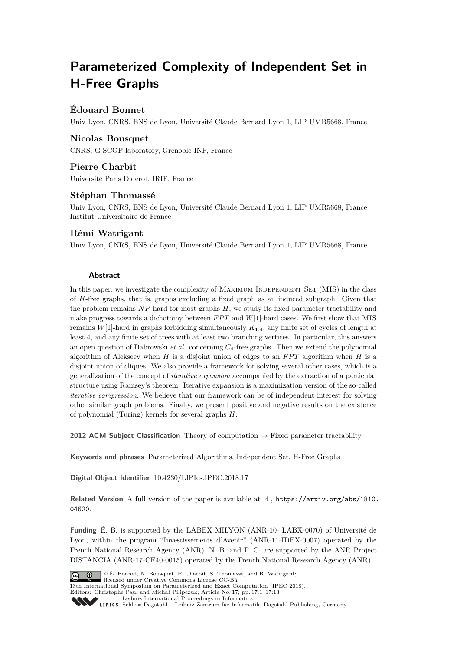# **Parameterized Complexity of Independent Set in H-Free Graphs**

# **Édouard Bonnet**

Univ Lyon, CNRS, ENS de Lyon, Université Claude Bernard Lyon 1, LIP UMR5668, France

# **Nicolas Bousquet**

CNRS, G-SCOP laboratory, Grenoble-INP, France

# **Pierre Charbit**

Université Paris Diderot, IRIF, France

# **Stéphan Thomassé**

Univ Lyon, CNRS, ENS de Lyon, Université Claude Bernard Lyon 1, LIP UMR5668, France Institut Universitaire de France

# **Rémi Watrigant**

Univ Lyon, CNRS, ENS de Lyon, Université Claude Bernard Lyon 1, LIP UMR5668, France

## **Abstract**

In this paper, we investigate the complexity of MAXIMUM INDEPENDENT SET (MIS) in the class of *H*-free graphs, that is, graphs excluding a fixed graph as an induced subgraph. Given that the problem remains *NP*-hard for most graphs *H*, we study its fixed-parameter tractability and make progress towards a dichotomy between  $FPT$  and  $W[1]$ -hard cases. We first show that MIS remains *W*[1]-hard in graphs forbidding simultaneously *K*1*,*4, any finite set of cycles of length at least 4, and any finite set of trees with at least two branching vertices. In particular, this answers an open question of Dabrowski *et al.* concerning *C*4-free graphs. Then we extend the polynomial algorithm of Alekseev when  $H$  is a disjoint union of edges to an  $FPT$  algorithm when  $H$  is a disjoint union of cliques. We also provide a framework for solving several other cases, which is a generalization of the concept of *iterative expansion* accompanied by the extraction of a particular structure using Ramsey's theorem. Iterative expansion is a maximization version of the so-called *iterative compression*. We believe that our framework can be of independent interest for solving other similar graph problems. Finally, we present positive and negative results on the existence of polynomial (Turing) kernels for several graphs *H*.

**2012 ACM Subject Classification** Theory of computation → Fixed parameter tractability

**Keywords and phrases** Parameterized Algorithms, Independent Set, H-Free Graphs

**Digital Object Identifier** [10.4230/LIPIcs.IPEC.2018.17](https://doi.org/10.4230/LIPIcs.IPEC.2018.17)

**Related Version** A full version of the paper is available at [\[4\]](#page-12-0), [https://arxiv.org/abs/1810.](https://arxiv.org/abs/1810.04620) [04620](https://arxiv.org/abs/1810.04620).

**Funding** É. B. is supported by the LABEX MILYON (ANR-10- LABX-0070) of Université de Lyon, within the program "Investissements d'Avenir" (ANR-11-IDEX-0007) operated by the French National Research Agency (ANR). N. B. and P. C. are supported by the ANR Project DISTANCIA (ANR-17-CE40-0015) operated by the French National Research Agency (ANR).



© É. Bonnet, N. Bousquet, P. Charbit, S. Thomassé, and R. Watrigant;  $\boxed{6}$  0 licensed under Creative Commons License CC-BY 13th International Symposium on Parameterized and Exact Computation (IPEC 2018). Editors: Christophe Paul and Michał Pilipczuk; Article No. 17; pp. 17:1–17[:13](#page-12-1)

[Leibniz International Proceedings in Informatics](http://www.dagstuhl.de/lipics/)

[Schloss Dagstuhl – Leibniz-Zentrum für Informatik, Dagstuhl Publishing, Germany](http://www.dagstuhl.de)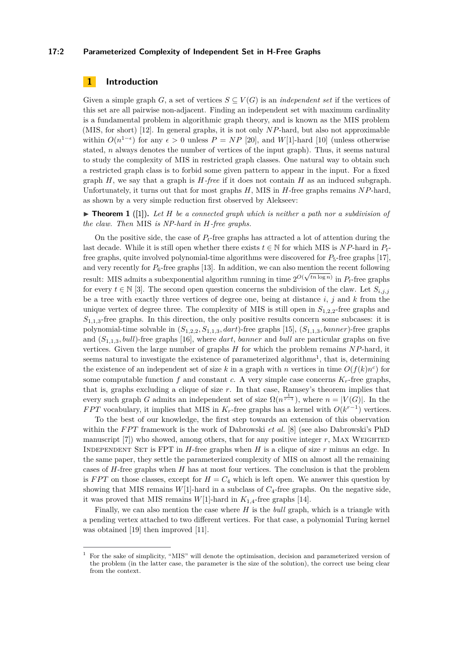#### **17:2 Parameterized Complexity of Independent Set in H-Free Graphs**

## **1 Introduction**

Given a simple graph *G*, a set of vertices  $S \subseteq V(G)$  is an *independent set* if the vertices of this set are all pairwise non-adjacent. Finding an independent set with maximum cardinality is a fundamental problem in algorithmic graph theory, and is known as the MIS problem (MIS, for short) [\[12\]](#page-12-2). In general graphs, it is not only *NP*-hard, but also not approximable within  $O(n^{1-\epsilon})$  for any  $\epsilon > 0$  unless  $P = NP$  [\[20\]](#page-12-3), and  $W[1]$ -hard [\[10\]](#page-12-4) (unless otherwise stated, *n* always denotes the number of vertices of the input graph). Thus, it seems natural to study the complexity of MIS in restricted graph classes. One natural way to obtain such a restricted graph class is to forbid some given pattern to appear in the input. For a fixed graph  $H$ , we say that a graph is  $H$ *-free* if it does not contain  $H$  as an induced subgraph. Unfortunately, it turns out that for most graphs *H*, MIS in *H*-free graphs remains *NP*-hard, as shown by a very simple reduction first observed by Alekseev:

▶ **Theorem 1** ([\[1\]](#page-12-5)). Let *H* be a connected graph which is neither a path nor a subdivision of *the claw. Then* MIS *is NP-hard in H-free graphs.*

On the positive side, the case of *Pt*-free graphs has attracted a lot of attention during the last decade. While it is still open whether there exists  $t \in \mathbb{N}$  for which MIS is *NP*-hard in  $P_t$ free graphs, quite involved polynomial-time algorithms were discovered for  $P_5$ -free graphs [\[17\]](#page-12-6), and very recently for  $P_6$ -free graphs [\[13\]](#page-12-7). In addition, we can also mention the recent following result: MIS admits a subexponential algorithm running in time  $2^{O(\sqrt{tn \log n})}$  in  $P_t$ -free graphs for every  $t \in \mathbb{N}$  [\[3\]](#page-12-8). The second open question concerns the subdivision of the claw. Let  $S_{i,j,j}$ be a tree with exactly three vertices of degree one, being at distance *i*, *j* and *k* from the unique vertex of degree three. The complexity of MIS is still open in  $S_{1,2,2}$ -free graphs and  $S_{1,1,3}$ -free graphs. In this direction, the only positive results concern some subcases: it is polynomial-time solvable in (*S*1*,*2*,*2*, S*1*,*1*,*3*, dart*)-free graphs [\[15\]](#page-12-9), (*S*1*,*1*,*3*, banner*)-free graphs and (*S*1*,*1*,*3*, bull*)-free graphs [\[16\]](#page-12-10), where *dart*, *banner* and *bull* are particular graphs on five vertices. Given the large number of graphs *H* for which the problem remains *NP*-hard, it seems natural to investigate the existence of parameterized algorithms<sup>[1](#page-1-0)</sup>, that is, determining the existence of an independent set of size k in a graph with *n* vertices in time  $O(f(k)n^c)$  for some computable function  $f$  and constant  $c$ . A very simple case concerns  $K<sub>r</sub>$ -free graphs, that is, graphs excluding a clique of size *r*. In that case, Ramsey's theorem implies that every such graph *G* admits an independent set of size  $\Omega(n^{\frac{1}{r-1}})$ , where  $n = |V(G)|$ . In the *FPT* vocabulary, it implies that MIS in  $K_r$ -free graphs has a kernel with  $O(k^{r-1})$  vertices.

To the best of our knowledge, the first step towards an extension of this observation within the *FPT* framework is the work of Dabrowski *et al.* [\[8\]](#page-12-11) (see also Dabrowski's PhD manuscript [\[7\]](#page-12-12)) who showed, among others, that for any positive integer r, MAX WEIGHTED INDEPENDENT SET is FPT in  $H$ -free graphs when  $H$  is a clique of size  $r$  minus an edge. In the same paper, they settle the parameterized complexity of MIS on almost all the remaining cases of *H*-free graphs when *H* has at most four vertices. The conclusion is that the problem is *FPT* on those classes, except for  $H = C_4$  which is left open. We answer this question by showing that MIS remains  $W[1]$ -hard in a subclass of  $C_4$ -free graphs. On the negative side, it was proved that MIS remains  $W[1]$ -hard in  $K_{1,4}$ -free graphs [\[14\]](#page-12-13).

Finally, we can also mention the case where *H* is the *bull* graph, which is a triangle with a pending vertex attached to two different vertices. For that case, a polynomial Turing kernel was obtained [\[19\]](#page-12-14) then improved [\[11\]](#page-12-15).

<span id="page-1-0"></span><sup>1</sup> For the sake of simplicity, "MIS" will denote the optimisation, decision and parameterized version of the problem (in the latter case, the parameter is the size of the solution), the correct use being clear from the context.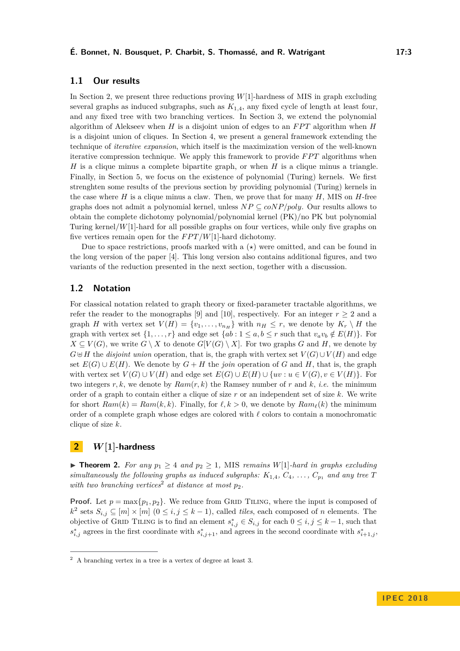## **1.1 Our results**

In Section [2,](#page-2-0) we present three reductions proving *W*[1]-hardness of MIS in graph excluding several graphs as induced subgraphs, such as *K*1*,*4, any fixed cycle of length at least four, and any fixed tree with two branching vertices. In Section [3,](#page-5-0) we extend the polynomial algorithm of Alekseev when  $H$  is a disjoint union of edges to an  $FPT$  algorithm when  $H$ is a disjoint union of cliques. In Section [4,](#page-6-0) we present a general framework extending the technique of *iterative expansion*, which itself is the maximization version of the well-known iterative compression technique. We apply this framework to provide *FPT* algorithms when *H* is a clique minus a complete bipartite graph, or when *H* is a clique minus a triangle. Finally, in Section [5,](#page-10-0) we focus on the existence of polynomial (Turing) kernels. We first strenghten some results of the previous section by providing polynomial (Turing) kernels in the case where  $H$  is a clique minus a claw. Then, we prove that for many  $H$ , MIS on  $H$ -free graphs does not admit a polynomial kernel, unless  $NP \subseteq coNP/poly$ . Our results allows to obtain the complete dichotomy polynomial/polynomial kernel (PK)/no PK but polynomial Turing kernel/*W*[1]-hard for all possible graphs on four vertices, while only five graphs on five vertices remain open for the  $FPT/W[1]$ -hard dichotomy.

Due to space restrictions, proofs marked with a  $(\star)$  were omitted, and can be found in the long version of the paper [\[4\]](#page-12-0). This long version also contains additional figures, and two variants of the reduction presented in the next section, together with a discussion.

## **1.2 Notation**

For classical notation related to graph theory or fixed-parameter tractable algorithms, we refer the reader to the monographs [\[9\]](#page-12-16) and [\[10\]](#page-12-4), respectively. For an integer  $r > 2$  and a graph *H* with vertex set  $V(H) = \{v_1, \ldots, v_{n_H}\}$  with  $n_H \leq r$ , we denote by  $K_r \setminus H$  the graph with vertex set  $\{1, \ldots, r\}$  and edge set  $\{ab : 1 \le a, b \le r \text{ such that } v_a v_b \notin E(H)\}.$  For *X* ⊆ *V*(*G*), we write *G* \ *X* to denote *G*[*V*(*G*) \ *X*]. For two graphs *G* and *H*, we denote by *G*⊎*H* the *disjoint union* operation, that is, the graph with vertex set  $V(G) \cup V(H)$  and edge set  $E(G) \cup E(H)$ . We denote by  $G + H$  the *join* operation of G and H, that is, the graph with vertex set  $V(G) \cup V(H)$  and edge set  $E(G) \cup E(H) \cup \{uv : u \in V(G), v \in V(H)\}$ . For two integers  $r, k$ , we denote by  $Ram(r, k)$  the Ramsey number of  $r$  and  $k$ , *i.e.* the minimum order of a graph to contain either a clique of size *r* or an independent set of size *k*. We write for short  $Ram(k) = Ram(k, k)$ . Finally, for  $\ell, k > 0$ , we denote by  $Ram_{\ell}(k)$  the minimum order of a complete graph whose edges are colored with  $\ell$  colors to contain a monochromatic clique of size *k*.

## <span id="page-2-0"></span>**2** *W***[1]-hardness**

▶ **Theorem 2.** For any  $p_1 ≥ 4$  and  $p_2 ≥ 1$ , MIS *remains*  $W[1]$ -hard in graphs excluding *simultaneously the following graphs as induced subgraphs:*  $K_{1,4}$ ,  $C_4$ ,  $\ldots$ ,  $C_{p_1}$  *and any tree T with two branching vertices*[2](#page-2-1) *at distance at most p*2*.*

**Proof.** Let  $p = \max\{p_1, p_2\}$ . We reduce from GRID TILING, where the input is composed of *k*<sup>2</sup> sets *S*<sub>*i,j*</sub> ⊆ [*m*] × [*m*] (0 ≤ *i, j* ≤ *k* − 1), called *tiles*, each composed of *n* elements. The objective of GRID TILING is to find an element  $s_{i,j}^* \in S_{i,j}$  for each  $0 \leq i,j \leq k-1$ , such that  $s_{i,j}^*$  agrees in the first coordinate with  $s_{i,j+1}^*$ , and agrees in the second coordinate with  $s_{i+1,j}^*$ ,

<span id="page-2-1"></span><sup>2</sup> A branching vertex in a tree is a vertex of degree at least 3.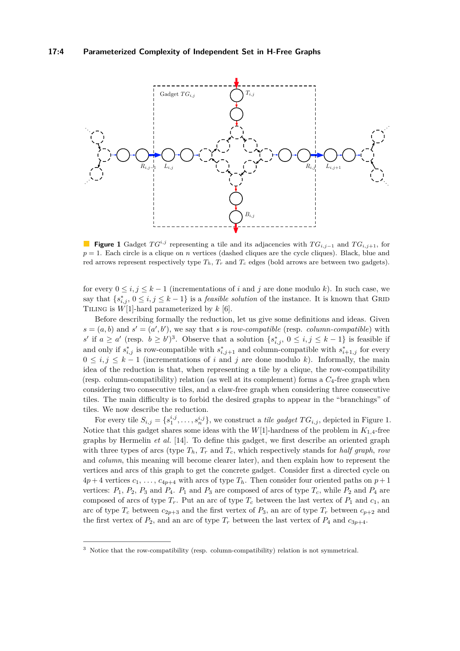<span id="page-3-1"></span>

**Figure 1** Gadget  $TG^{i,j}$  representing a tile and its adjacencies with  $TG_{i,j-1}$  and  $TG_{i,j+1}$ , for  $p = 1$ . Each circle is a clique on *n* vertices (dashed cliques are the cycle cliques). Black, blue and red arrows represent respectively type  $T_h$ ,  $T_r$  and  $T_c$  edges (bold arrows are between two gadgets).

for every  $0 \le i, j \le k-1$  (incrementations of *i* and *j* are done modulo *k*). In such case, we say that  $\{s_{i,j}^*, 0 \leq i, j \leq k-1\}$  is a *feasible solution* of the instance. It is known that GRID Tiling is *W*[1]-hard parameterized by *k* [\[6\]](#page-12-17).

Before describing formally the reduction, let us give some definitions and ideas. Given  $s = (a, b)$  and  $s' = (a', b')$ , we say that *s* is *row-compatible* (resp. *column-compatible*) with *s*<sup>'</sup> if *a* ≥ *a*<sup>'</sup> (resp. *b* ≥ *b*<sup>'</sup>)<sup>[3](#page-3-0)</sup>. Observe that a solution  $\{s_{i,j}^*, 0 \le i, j \le k-1\}$  is feasible if and only if  $s_{i,j}^*$  is row-compatible with  $s_{i,j+1}^*$  and column-compatible with  $s_{i+1,j}^*$  for every  $0 \le i, j \le k-1$  (incrementations of *i* and *j* are done modulo *k*). Informally, the main idea of the reduction is that, when representing a tile by a clique, the row-compatibility (resp. column-compatibility) relation (as well at its complement) forms a *C*4-free graph when considering two consecutive tiles, and a claw-free graph when considering three consecutive tiles. The main difficulty is to forbid the desired graphs to appear in the "branchings" of tiles. We now describe the reduction.

For every tile  $S_{i,j} = \{s_1^{i,j}, \ldots, s_n^{i,j}\}$ , we construct a *tile gadget*  $TG_{i,j}$ , depicted in Figure [1.](#page-3-1) Notice that this gadget shares some ideas with the  $W[1]$ -hardness of the problem in  $K_{1,4}$ -free graphs by Hermelin *et al.* [\[14\]](#page-12-13). To define this gadget, we first describe an oriented graph with three types of arcs (type  $T_h$ ,  $T_r$  and  $T_c$ , which respectively stands for *half graph*, *row* and *column*, this meaning will become clearer later), and then explain how to represent the vertices and arcs of this graph to get the concrete gadget. Consider first a directed cycle on  $4p+4$  vertices  $c_1, \ldots, c_{4p+4}$  with arcs of type  $T_h$ . Then consider four oriented paths on  $p+1$ vertices:  $P_1$ ,  $P_2$ ,  $P_3$  and  $P_4$ .  $P_1$  and  $P_3$  are composed of arcs of type  $T_c$ , while  $P_2$  and  $P_4$  are composed of arcs of type  $T_r$ . Put an arc of type  $T_c$  between the last vertex of  $P_1$  and  $c_1$ , an arc of type  $T_c$  between  $c_{2p+3}$  and the first vertex of  $P_3$ , an arc of type  $T_r$  between  $c_{p+2}$  and the first vertex of  $P_2$ , and an arc of type  $T_r$  between the last vertex of  $P_4$  and  $c_{3p+4}$ .

<span id="page-3-0"></span><sup>3</sup> Notice that the row-compatibility (resp. column-compatibility) relation is not symmetrical.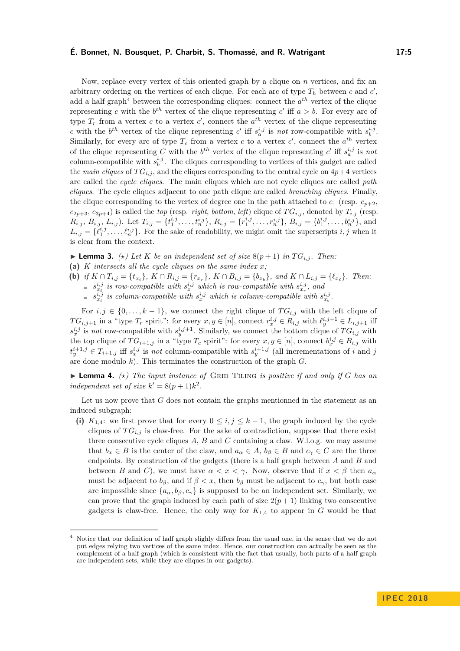#### **É. Bonnet, N. Bousquet, P. Charbit, S. Thomassé, and R. Watrigant 17:5**

Now, replace every vertex of this oriented graph by a clique on *n* vertices, and fix an arbitrary ordering on the vertices of each clique. For each arc of type  $T_h$  between  $c$  and  $c'$ , add a half graph<sup>[4](#page-4-0)</sup> between the corresponding cliques: connect the  $a^{th}$  vertex of the clique representing *c* with the  $b^{th}$  vertex of the clique representing *c*' iff  $a > b$ . For every arc of type  $T_r$  from a vertex *c* to a vertex *c'*, connect the  $a^{th}$  vertex of the clique representing *c* with the  $b^{th}$  vertex of the clique representing *c*' iff  $s_a^{i,j}$  is *not* row-compatible with  $s_b^{i,j}$ . Similarly, for every arc of type  $T_c$  from a vertex  $c$  to a vertex  $c'$ , connect the  $a^{th}$  vertex of the clique representing *C* with the  $b^{th}$  vertex of the clique representing *c*' iff  $s_a^{i,j}$  is not column-compatible with  $s_b^{i,j}$ . The cliques corresponding to vertices of this gadget are called the *main cliques* of  $TG_{i,j}$ , and the cliques corresponding to the central cycle on  $4p+4$  vertices are called the *cycle cliques*. The main cliques which are not cycle cliques are called *path cliques*. The cycle cliques adjacent to one path clique are called *branching cliques*. Finally, the clique corresponding to the vertex of degree one in the path attached to  $c_1$  (resp.  $c_{n+2}$ ,  $c_{2p+3}, c_{3p+4}$ ) is called the *top* (resp. *right*, *bottom*, *left*) clique of  $TG_{i,j}$ , denoted by  $T_{i,j}$  (resp.  $R_{i,j}, B_{i,j}, L_{i,j}$ ). Let  $T_{i,j} = \{t_1^{i,j}, \ldots, t_n^{i,j}\}, R_{i,j} = \{r_1^{i,j}, \ldots, r_n^{i,j}\}, B_{i,j} = \{b_1^{i,j}, \ldots, b_n^{i,j}\},$  and  $L_{i,j} = \{\ell_1^{i,j}, \ldots, \ell_n^{i,j}\}$ . For the sake of readability, we might omit the superscripts *i, j* when it is clear from the context.

 $\blacktriangleright$  **Lemma 3.** ( $\star$ ) Let K be an independent set of size 8( $p + 1$ ) in TG<sub>*i,j*</sub>. Then:

**(a)** *K intersects all the cycle cliques on the same index x;*

(b) if  $K \cap T_{i,j} = \{t_{x_t}\}\$ ,  $K \cap R_{i,j} = \{r_{x_r}\}\$ ,  $K \cap B_{i,j} = \{b_{x_b}\}\$ , and  $K \cap L_{i,j} = \{\ell_{x_\ell}\}\$ . Then:

 $s_{x}^{i,j}$  *is row-compatible with*  $s_x^{i,j}$  *which is row-compatible with*  $s_{x_r}^{i,j}$ , and

 $s_{x}^{i,j}$  *is column-compatible with*  $s_{x}^{i,j}$  *which is column-compatible with*  $s_{x}^{i,j}$ .

For  $i, j \in \{0, \ldots, k-1\}$ , we connect the right clique of  $TG_{i,j}$  with the left clique of *TG*<sub>*i*,*j*+1</sub> in a "type *T<sub>r</sub>* spirit": for every  $x, y \in [n]$ , connect  $r_x^{i,j} \in R_{i,j}$  with  $\ell_y^{i,j+1} \in L_{i,j+1}$  iff  $s_x^{i,j}$  is *not* row-compatible with  $s_y^{i,j+1}$ . Similarly, we connect the bottom clique of  $TG_{i,j}$  with the top clique of  $TG_{i+1,j}$  in a "type  $T_c$  spirit": for every  $x, y \in [n]$ , connect  $b_x^{i,j} \in B_{i,j}$  with  $t_j^{i+1,j} \in T_{i+1,j}$  iff  $s_x^{i,j}$  is *not* column-compatible with  $s_y^{i+1,j}$  (all incrementations of *i* and *j* are done modulo *k*). This terminates the construction of the graph *G*.

 $\blacktriangleright$  **Lemma 4.**  $(\star)$  *The input instance of* GRID TILING *is positive if and only if G has an independent set of size*  $k' = 8(p+1)k^2$ .

Let us now prove that *G* does not contain the graphs mentionned in the statement as an induced subgraph:

(i)  $K_{1,4}$ : we first prove that for every  $0 \leq i, j \leq k-1$ , the graph induced by the cycle cliques of  $TG_{i,j}$  is claw-free. For the sake of contradiction, suppose that there exist three consecutive cycle cliques *A*, *B* and *C* containing a claw. W.l.o.g. we may assume that  $b_x \in B$  is the center of the claw, and  $a_\alpha \in A$ ,  $b_\beta \in B$  and  $c_\gamma \in C$  are the three endpoints. By construction of the gadgets (there is a half graph between *A* and *B* and between *B* and *C*), we must have  $\alpha < x < \gamma$ . Now, observe that if  $x < \beta$  then  $a_{\alpha}$ must be adjacent to  $b_{\beta}$ , and if  $\beta < x$ , then  $b_{\beta}$  must be adjacent to  $c_{\gamma}$ , but both case are impossible since  $\{a_{\alpha}, b_{\beta}, c_{\gamma}\}\$  is supposed to be an independent set. Similarly, we can prove that the graph induced by each path of size  $2(p+1)$  linking two consecutive gadgets is claw-free. Hence, the only way for  $K_{1,4}$  to appear in  $G$  would be that

<span id="page-4-0"></span>Notice that our definition of half graph slighly differs from the usual one, in the sense that we do not put edges relying two vertices of the same index. Hence, our construction can actually be seen as the complement of a half graph (which is consistent with the fact that usually, both parts of a half graph are independent sets, while they are cliques in our gadgets).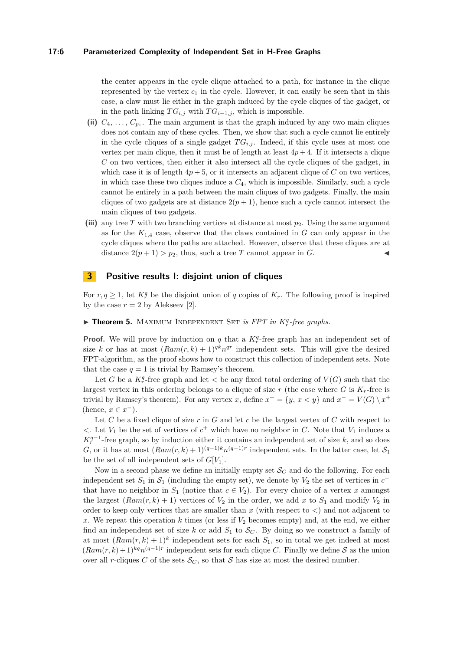#### **17:6 Parameterized Complexity of Independent Set in H-Free Graphs**

the center appears in the cycle clique attached to a path, for instance in the clique represented by the vertex  $c_1$  in the cycle. However, it can easily be seen that in this case, a claw must lie either in the graph induced by the cycle cliques of the gadget, or in the path linking  $TG_{i,j}$  with  $TG_{i-1,j}$ , which is impossible.

- (ii)  $C_4, \ldots, C_{p_1}$ . The main argument is that the graph induced by any two main cliques does not contain any of these cycles. Then, we show that such a cycle cannot lie entirely in the cycle cliques of a single gadget  $TG_{i,j}$ . Indeed, if this cycle uses at most one vertex per main clique, then it must be of length at least  $4p + 4$ . If it intersects a clique *C* on two vertices, then either it also intersect all the cycle cliques of the gadget, in which case it is of length  $4p + 5$ , or it intersects an adjacent clique of *C* on two vertices, in which case these two cliques induce a  $C_4$ , which is impossible. Similarly, such a cycle cannot lie entirely in a path between the main cliques of two gadgets. Finally, the main cliques of two gadgets are at distance  $2(p+1)$ , hence such a cycle cannot intersect the main cliques of two gadgets.
- **(iii)** any tree *T* with two branching vertices at distance at most *p*2. Using the same argument as for the  $K_{1,4}$  case, observe that the claws contained in  $G$  can only appear in the cycle cliques where the paths are attached. However, observe that these cliques are at distance  $2(p+1) > p_2$ , thus, such a tree *T* cannot appear in *G*.

## <span id="page-5-0"></span>**3 Positive results I: disjoint union of cliques**

For  $r, q \geq 1$ , let  $K_r^q$  be the disjoint union of *q* copies of  $K_r$ . The following proof is inspired by the case  $r = 2$  by Alekseev [\[2\]](#page-12-18).

# <span id="page-5-1"></span>**Finder 5.** MAXIMUM INDEPENDENT SET *is FPT in*  $K_r^q$ -free graphs.

**Proof.** We will prove by induction on *q* that a  $K_r^q$ -free graph has an independent set of size *k* or has at most  $(Ram(r, k) + 1)^{qk}n^{qr}$  independent sets. This will give the desired FPT-algorithm, as the proof shows how to construct this collection of independent sets. Note that the case  $q = 1$  is trivial by Ramsey's theorem.

Let *G* be a  $K_r^q$ -free graph and let  $\lt$  be any fixed total ordering of  $V(G)$  such that the largest vertex in this ordering belongs to a clique of size  $r$  (the case where  $G$  is  $K_r$ -free is trivial by Ramsey's theorem). For any vertex *x*, define  $x^+ = \{y, x < y\}$  and  $x^- = V(G) \setminus x^+$ (hence,  $x \in x^-$ ).

Let *C* be a fixed clique of size *r* in *G* and let *c* be the largest vertex of *C* with respect to  $\lt$ . Let *V*<sub>1</sub> be the set of vertices of  $c^+$  which have no neighbor in *C*. Note that *V*<sub>1</sub> induces a  $K_r^{q-1}$ -free graph, so by induction either it contains an independent set of size *k*, and so does *G*, or it has at most  $(Ram(r, k) + 1)^{(q-1)k}n^{(q-1)r}$  independent sets. In the latter case, let  $S_1$ be the set of all independent sets of *G*[*V*1].

Now in a second phase we define an initially empty set  $\mathcal{S}_C$  and do the following. For each independent set  $S_1$  in  $S_1$  (including the empty set), we denote by  $V_2$  the set of vertices in  $c^$ that have no neighbor in  $S_1$  (notice that  $c \in V_2$ ). For every choice of a vertex x amongst the largest  $(Ram(r, k) + 1)$  vertices of  $V_2$  in the order, we add x to  $S_1$  and modify  $V_2$  in order to keep only vertices that are smaller than  $x$  (with respect to  $\lt$ ) and not adjacent to x. We repeat this operation  $k$  times (or less if  $V_2$  becomes empty) and, at the end, we either find an independent set of size  $k$  or add  $S_1$  to  $S_C$ . By doing so we construct a family of at most  $(Ram(r, k) + 1)^k$  independent sets for each  $S_1$ , so in total we get indeed at most  $(Ram(r, k) + 1)^{kq}n^{(q-1)r}$  independent sets for each clique *C*. Finally we define S as the union over all *r*-cliques *C* of the sets  $S_C$ , so that *S* has size at most the desired number.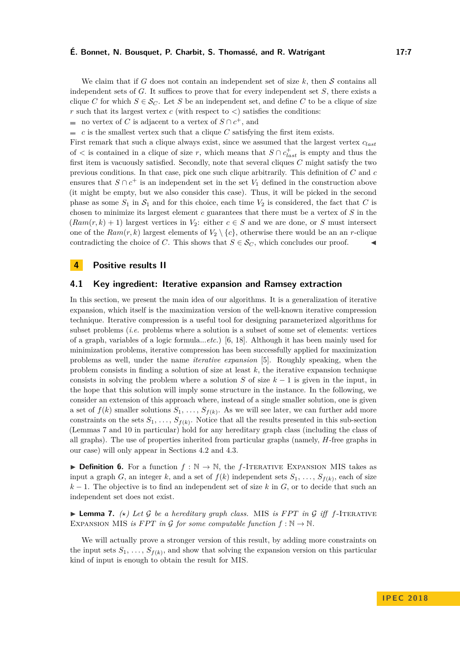#### **É. Bonnet, N. Bousquet, P. Charbit, S. Thomassé, and R. Watrigant 17:7**

We claim that if *G* does not contain an independent set of size  $k$ , then  $S$  contains all independent sets of *G*. It suffices to prove that for every independent set *S*, there exists a clique *C* for which  $S \in \mathcal{S}_C$ . Let *S* be an independent set, and define *C* to be a clique of size *r* such that its largest vertex *c* (with respect to *<*) satisfies the conditions:

no vertex of *C* is adjacent to a vertex of  $S \cap c^+$ , and

*c* is the smallest vertex such that a clique *C* satisfying the first item exists.

First remark that such a clique always exist, since we assumed that the largest vertex *clast* of  $\lt$  is contained in a clique of size *r*, which means that  $S \cap c_{last}^+$  is empty and thus the first item is vacuously satisfied. Secondly, note that several cliques *C* might satisfy the two previous conditions. In that case, pick one such clique arbitrarily. This definition of *C* and *c* ensures that  $S \cap c^+$  is an independent set in the set  $V_1$  defined in the construction above (it might be empty, but we also consider this case). Thus, it will be picked in the second phase as some  $S_1$  in  $S_1$  and for this choice, each time  $V_2$  is considered, the fact that *C* is chosen to minimize its largest element *c* guarantees that there must be a vertex of *S* in the  $(Ram(r, k) + 1)$  largest vertices in  $V_2$ : either  $c \in S$  and we are done, or *S* must intersect one of the  $Ram(r, k)$  largest elements of  $V_2 \setminus \{c\}$ , otherwise there would be an an *r*-clique contradicting the choice of *C*. This shows that  $S \in \mathcal{S}_C$ , which concludes our proof.

### <span id="page-6-0"></span>**4 Positive results II**

#### **4.1 Key ingredient: Iterative expansion and Ramsey extraction**

In this section, we present the main idea of our algorithms. It is a generalization of iterative expansion, which itself is the maximization version of the well-known iterative compression technique. Iterative compression is a useful tool for designing parameterized algorithms for subset problems (*i.e.* problems where a solution is a subset of some set of elements: vertices of a graph, variables of a logic formula...*etc.*) [\[6,](#page-12-17) [18\]](#page-12-19). Although it has been mainly used for minimization problems, iterative compression has been successfully applied for maximization problems as well, under the name *iterative expansion* [\[5\]](#page-12-20). Roughly speaking, when the problem consists in finding a solution of size at least *k*, the iterative expansion technique consists in solving the problem where a solution *S* of size  $k-1$  is given in the input, in the hope that this solution will imply some structure in the instance. In the following, we consider an extension of this approach where, instead of a single smaller solution, one is given a set of  $f(k)$  smaller solutions  $S_1, \ldots, S_{f(k)}$ . As we will see later, we can further add more constraints on the sets  $S_1, \ldots, S_{f(k)}$ . Notice that all the results presented in this sub-section (Lemmas [7](#page-6-1) and [10](#page-7-0) in particular) hold for any hereditary graph class (including the class of all graphs). The use of properties inherited from particular graphs (namely, *H*-free graphs in our case) will only appear in Sections [4.2](#page-9-0) and [4.3.](#page-9-1)

**► Definition 6.** For a function  $f : \mathbb{N} \to \mathbb{N}$ , the *f*-ITERATIVE EXPANSION MIS takes as input a graph *G*, an integer *k*, and a set of  $f(k)$  independent sets  $S_1, \ldots, S_{f(k)}$ , each of size  $k-1$ . The objective is to find an independent set of size k in  $G$ , or to decide that such an independent set does not exist.

<span id="page-6-1"></span>**Example 12.** (*\*)* Let G be a hereditary graph class. MIS is FPT in G iff f-ITERATIVE EXPANSION MIS *is FPT in*  $\mathcal{G}$  *for some computable function*  $f : \mathbb{N} \to \mathbb{N}$ *.* 

We will actually prove a stronger version of this result, by adding more constraints on the input sets  $S_1, \ldots, S_{f(k)}$ , and show that solving the expansion version on this particular kind of input is enough to obtain the result for MIS.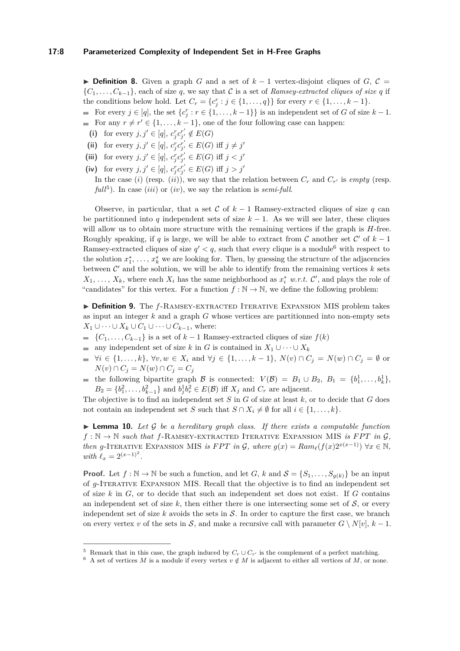**► Definition 8.** Given a graph *G* and a set of  $k-1$  vertex-disjoint cliques of *G*,  $C =$  ${C_1, \ldots, C_{k-1}}$ , each of size *q*, we say that C is a set of *Ramsey-extracted cliques of size q* if the conditions below hold. Let  $C_r = \{c_j^r : j \in \{1, ..., q\}\}$  for every  $r \in \{1, ..., k - 1\}$ .

For every  $j \in [q]$ , the set  $\{c_j^r : r \in \{1, \ldots, k-1\}\}$  is an independent set of *G* of size  $k-1$ . For any  $r \neq r' \in \{1, \ldots, k-1\}$ , one of the four following case can happen:

- (i) for every  $j, j' \in [q], c_j^r c_{j'}^{r'} \notin E(G)$
- **(ii)** for every  $j, j' \in [q]$ ,  $c_j^r c_{j'}^{r'} \in E(G)$  iff  $j \neq j'$
- (iii) for every  $j, j' \in [q], c_j^r c_{j'}^{r'} \in E(G)$  iff  $j < j'$
- **(iv)** for every  $j, j' \in [q], c_j^r c_{j'}^{r'} \in E(G)$  iff  $j > j'$

In the case (*i*) (resp. (*ii*)), we say that the relation between  $C_r$  and  $C_{r'}$  is *empty* (resp.  $full<sup>5</sup>$  $full<sup>5</sup>$  $full<sup>5</sup>$ ). In case (*iii*) or (*iv*), we say the relation is *semi-full*.

Observe, in particular, that a set C of  $k-1$  Ramsey-extracted cliques of size q can be partitionned into *q* independent sets of size  $k - 1$ . As we will see later, these cliques will allow us to obtain more structure with the remaining vertices if the graph is *H*-free. Roughly speaking, if *q* is large, we will be able to extract from C another set  $\mathcal{C}'$  of  $k-1$ Ramsey-extracted cliques of size  $q' < q$ , such that every clique is a module<sup>[6](#page-7-2)</sup> with respect to the solution  $x_1^*, \ldots, x_k^*$  we are looking for. Then, by guessing the structure of the adjacencies between  $\mathcal{C}'$  and the solution, we will be able to identify from the remaining vertices  $k$  sets  $X_1, \ldots, X_k$ , where each  $X_i$  has the same neighborhood as  $x_i^*$  *w.r.t.*  $\mathcal{C}'$ , and plays the role of "candidates" for this vertex. For a function  $f : \mathbb{N} \to \mathbb{N}$ , we define the following problem:

<span id="page-7-3"></span>▶ Definition 9. The *f*-RAMSEY-EXTRACTED ITERATIVE EXPANSION MIS problem takes as input an integer *k* and a graph *G* whose vertices are partitionned into non-empty sets *X*<sub>1</sub> ∪ · · · ∪ *X*<sub>*k*</sub> ∪ *C*<sub>1</sub> ∪ · · · ∪ *C*<sub>*k*−1</sub>, where:

- ${C_1, \ldots, C_{k-1}}$  is a set of  $k-1$  Ramsey-extracted cliques of size  $f(k)$
- any independent set of size *k* in *G* is contained in  $X_1 \cup \cdots \cup X_k$
- $\forall i \in \{1, ..., k\}, \forall v, w \in X_i \text{ and } \forall j \in \{1, ..., k-1\}, N(v) \cap C_j = N(w) \cap C_j = ∅ \text{ or }$ *N*(*v*) ∩  $C_j$  = *N*(*w*) ∩  $C_j$  =  $C_j$
- the following bipartite graph  $\mathcal{B}$  is connected:  $V(\mathcal{B}) = B_1 \cup B_2$ ,  $B_1 = \{b_1^1, \ldots, b_k^1\}$ ,  $B_2 = \{b_1^2, \ldots, b_{k-1}^2\}$  and  $b_j^1 b_r^2 \in E(\mathcal{B})$  iff  $X_j$  and  $C_r$  are adjacent.

The objective is to find an independent set *S* in *G* of size at least *k*, or to decide that *G* does not contain an independent set *S* such that  $S \cap X_i \neq \emptyset$  for all  $i \in \{1, ..., k\}$ .

<span id="page-7-0"></span> $\triangleright$  **Lemma 10.** Let G be a hereditary graph class. If there exists a computable function  $f : \mathbb{N} \to \mathbb{N}$  *such that*  $f$ -RAMSEY-EXTRACTED ITERATIVE EXPANSION MIS *is FPT in G*, *then g*-ITERATIVE EXPANSION MIS *is FPT in*  $G$ *, where*  $g(x) = Ram_{\ell}(f(x)2^{x(x-1)}) \forall x \in \mathbb{N}$ , *with*  $\ell_x = 2^{(x-1)^2}$ .

**Proof.** Let  $f : \mathbb{N} \to \mathbb{N}$  be such a function, and let *G*, *k* and  $\mathcal{S} = \{S_1, \ldots, S_{g(k)}\}$  be an input of *g*-Iterative Expansion MIS. Recall that the objective is to find an independent set of size *k* in *G*, or to decide that such an independent set does not exist. If *G* contains an independent set of size  $k$ , then either there is one intersecting some set of  $S$ , or every independent set of size  $k$  avoids the sets in  $\mathcal S$ . In order to capture the first case, we branch on every vertex *v* of the sets in  $S$ , and make a recursive call with parameter  $G \setminus N[v], k-1$ .

<span id="page-7-1"></span><sup>&</sup>lt;sup>5</sup> Remark that in this case, the graph induced by  $C_r \cup C_{r'}$  is the complement of a perfect matching.

<span id="page-7-2"></span><sup>&</sup>lt;sup>6</sup> A set of vertices *M* is a module if every vertex  $v \notin M$  is adjacent to either all vertices of *M*, or none.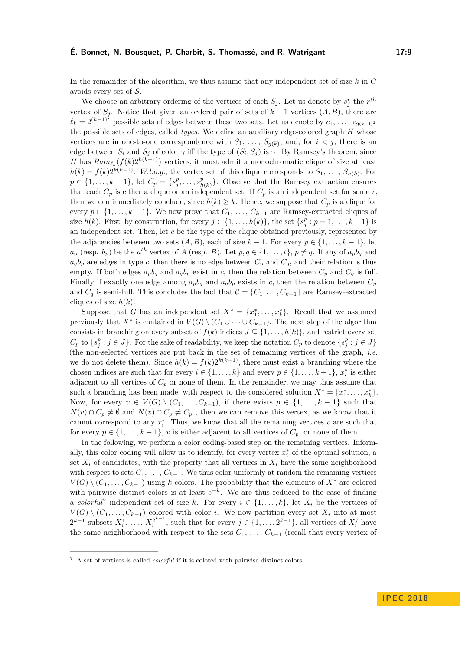#### **É. Bonnet, N. Bousquet, P. Charbit, S. Thomassé, and R. Watrigant 17:9**

In the remainder of the algorithm, we thus assume that any independent set of size *k* in *G* avoids every set of S.

We choose an arbitrary ordering of the vertices of each  $S_j$ . Let us denote by  $s_j^r$  the  $r^{th}$ vertex of  $S_j$ . Notice that given an ordered pair of sets of  $k-1$  vertices  $(A, B)$ , there are  $\ell_k = 2^{(k-1)^2}$  possible sets of edges between these two sets. Let us denote by *c*<sub>1</sub>, *. . .* , *c*<sub>2(*k*−1)<sup>2</sup></sub> the possible sets of edges, called *types*. We define an auxiliary edge-colored graph *H* whose vertices are in one-to-one correspondence with  $S_1, \ldots, S_{g(k)}$ , and, for  $i < j$ , there is an edge between  $S_i$  and  $S_j$  of color  $\gamma$  iff the type of  $(S_i, S_j)$  is  $\gamma$ . By Ramsey's theorem, since *H* has  $Ram_{\ell_k}(f(k)2^{k(k-1)})$  vertices, it must admit a monochromatic clique of size at least  $h(k) = f(k)2^{k(k-1)}$ . *W.l.o.g.*, the vertex set of this clique corresponds to  $S_1, \ldots, S_{h(k)}$ . For  $p \in \{1, \ldots, k-1\}, \text{ let } C_p = \{s_j^p, \ldots, s_h^p\}$  $_{h(k)}^p$ . Observe that the Ramsey extraction ensures that each  $C_p$  is either a clique or an independent set. If  $C_p$  is an independent set for some  $r$ , then we can immediately conclude, since  $h(k) \geq k$ . Hence, we suppose that  $C_p$  is a clique for every  $p \in \{1, \ldots, k-1\}$ . We now prove that  $C_1, \ldots, C_{k-1}$  are Ramsey-extracted cliques of size *h*(*k*). First, by construction, for every  $j \in \{1, ..., h(k)\}$ , the set  $\{s_j^p : p = 1, ..., k-1\}$  is an independent set. Then, let *c* be the type of the clique obtained previously, represented by the adjacencies between two sets  $(A, B)$ , each of size  $k - 1$ . For every  $p \in \{1, \ldots, k - 1\}$ , let  $a_p$  (resp. *b<sub>p</sub>*) be the *a*<sup>th</sup> vertex of *A* (resp. *B*). Let  $p, q \in \{1, \ldots, t\}$ ,  $p \neq q$ . If any of  $a_p b_q$  and  $a_qb_p$  are edges in type *c*, then there is no edge between  $C_p$  and  $C_q$ , and their relation is thus empty. If both edges  $a_p b_q$  and  $a_q b_p$  exist in *c*, then the relation between  $C_p$  and  $C_q$  is full. Finally if exactly one edge among  $a_p b_q$  and  $a_q b_p$  exists in *c*, then the relation between  $C_p$ and  $C_q$  is semi-full. This concludes the fact that  $\mathcal{C} = \{C_1, \ldots, C_{k-1}\}\$ are Ramsey-extracted cliques of size *h*(*k*).

Suppose that *G* has an independent set  $X^* = \{x_1^*, \ldots, x_k^*\}$ . Recall that we assumed previously that  $X^*$  is contained in  $V(G) \setminus (C_1 \cup \cdots \cup C_{k-1})$ . The next step of the algorithm consists in branching on every subset of  $f(k)$  indices  $J \subseteq \{1, \ldots, h(k)\}\)$ , and restrict every set  $C_p$  to  $\{s_j^p : j \in J\}$ . For the sake of readability, we keep the notation  $C_p$  to denote  $\{s_j^p : j \in J\}$ (the non-selected vertices are put back in the set of remaining vertices of the graph, *i.e.* we do not delete them). Since  $h(k) = f(k)2^{k(k-1)}$ , there must exist a branching where the chosen indices are such that for every  $i \in \{1, ..., k\}$  and every  $p \in \{1, ..., k-1\}$ ,  $x_i^*$  is either adjacent to all vertices of  $C_p$  or none of them. In the remainder, we may thus assume that such a branching has been made, with respect to the considered solution  $X^* = \{x_1^*, \ldots, x_k^*\}.$ Now, for every  $v \in V(G) \setminus (C_1, \ldots, C_{k-1})$ , if there exists  $p \in \{1, \ldots, k-1\}$  such that *N*(*v*) ∩ *C<sub><i>p*</sub>  $\neq$  ∅ and *N*(*v*) ∩ *C<sub><i>p*</sub>  $\neq$  *C<sub>p</sub>*, then we can remove this vertex, as we know that it cannot correspond to any  $x_i^*$ . Thus, we know that all the remaining vertices  $v$  are such that for every  $p \in \{1, \ldots, k-1\}$ , *v* is either adjacent to all vertices of  $C_p$ , or none of them.

In the following, we perform a color coding-based step on the remaining vertices. Informally, this color coding will allow us to identify, for every vertex  $x_i^*$  of the optimal solution, a set  $X_i$  of candidates, with the property that all vertices in  $X_i$  have the same neighborhood with respect to sets  $C_1, \ldots, C_{k-1}$ . We thus color uniformly at random the remaining vertices  $V(G) \setminus (C_1, \ldots, C_{k-1})$  using *k* colors. The probability that the elements of  $X^*$  are colored with pairwise distinct colors is at least  $e^{-k}$ . We are thus reduced to the case of finding a *colorful*<sup>[7](#page-8-0)</sup> independent set of size *k*. For every  $i \in \{1, ..., k\}$ , let  $X_i$  be the vertices of  $V(G) \setminus (C_1, \ldots, C_{k-1})$  colored with color *i*. We now partition every set  $X_i$  into at most  $2^{k-1}$  subsets  $X_i^1, \ldots, X_i^{2^{k-1}}$ , such that for every  $j \in \{1, \ldots, 2^{k-1}\}$ , all vertices of  $X_i^j$  have the same neighborhood with respect to the sets  $C_1, \ldots, C_{k-1}$  (recall that every vertex of

<span id="page-8-0"></span><sup>7</sup> A set of vertices is called *colorful* if it is colored with pairwise distinct colors.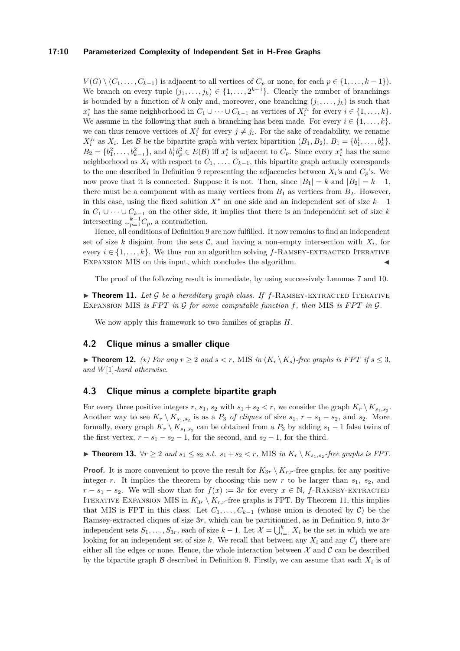#### **17:10 Parameterized Complexity of Independent Set in H-Free Graphs**

 $V(G) \setminus (C_1, \ldots, C_{k-1})$  is adjacent to all vertices of  $C_p$  or none, for each  $p \in \{1, \ldots, k-1\}$ ). We branch on every tuple  $(j_1, \ldots, j_k) \in \{1, \ldots, 2^{k-1}\}$ . Clearly the number of branchings is bounded by a function of *k* only and, moreover, one branching  $(j_1, \ldots, j_k)$  is such that  $x_i^*$  has the same neighborhood in  $C_1 \cup \cdots \cup C_{k-1}$  as vertices of  $X_i^{j_i}$  for every  $i \in \{1, \ldots, k\}$ . We assume in the following that such a branching has been made. For every  $i \in \{1, \ldots, k\}$ , we can thus remove vertices of  $X_i^j$  for every  $j \neq j_i$ . For the sake of readability, we rename  $X_i^{j_i}$  as  $X_i$ . Let B be the bipartite graph with vertex bipartition  $(B_1, B_2)$ ,  $B_1 = \{b_1^1, \ldots, b_k^1\}$ ,  $B_2 = \{b_1^2, \ldots, b_{k-1}^2\}$ , and  $b_i^1 b_p^2 \in E(\mathcal{B})$  iff  $x_i^*$  is adjacent to  $C_p$ . Since every  $x_i^*$  has the same neighborhood as  $X_i$  with respect to  $C_1, \ldots, C_{k-1}$ , this bipartite graph actually corresponds to the one described in Definition [9](#page-7-3) representing the adjacencies between  $X_i$ 's and  $C_p$ 's. We now prove that it is connected. Suppose it is not. Then, since  $|B_1| = k$  and  $|B_2| = k - 1$ , there must be a component with as many vertices from  $B_1$  as vertices from  $B_2$ . However, in this case, using the fixed solution  $X^*$  on one side and an independent set of size  $k-1$ in *C*<sup>1</sup> ∪ · · · ∪ *Ck*−<sup>1</sup> on the other side, it implies that there is an independent set of size *k* intersecting  $\cup_{p=1}^{k-1}C_p$ , a contradiction.

Hence, all conditions of Definition [9](#page-7-3) are now fulfilled. It now remains to find an independent set of size *k* disjoint from the sets  $\mathcal{C}$ , and having a non-empty intersection with  $X_i$ , for every  $i \in \{1, \ldots, k\}$ . We thus run an algorithm solving  $f$ -RAMSEY-EXTRACTED ITERATIVE EXPANSION MIS on this input, which concludes the algorithm.

The proof of the following result is immediate, by using successively Lemmas [7](#page-6-1) and [10.](#page-7-0)

<span id="page-9-2"></span> $\triangleright$  **Theorem 11.** Let G be a hereditary graph class. If  $f$ -RAMSEY-EXTRACTED ITERATIVE EXPANSION MIS *is*  $FPT$  *in*  $G$  *for some computable function*  $f$ *, then* MIS *is*  $FPT$  *in*  $G$ *.* 

We now apply this framework to two families of graphs *H*.

## <span id="page-9-0"></span>**4.2 Clique minus a smaller clique**

▶ **Theorem 12.** *(★) For any*  $r \geq 2$  *and*  $s < r$ , MIS *in*  $(K_r \setminus K_s)$ -free graphs is *FPT* if  $s \leq 3$ , *and W*[1]*-hard otherwise.*

#### <span id="page-9-1"></span>**4.3 Clique minus a complete bipartite graph**

For every three positive integers  $r$ ,  $s_1$ ,  $s_2$  with  $s_1 + s_2 < r$ , we consider the graph  $K_r \setminus K_{s_1, s_2}$ . Another way to see  $K_r \setminus K_{s_1,s_2}$  is as a  $P_3$  *of cliques* of size  $s_1, r - s_1 - s_2$ , and  $s_2$ . More formally, every graph  $K_r \setminus K_{s_1,s_2}$  can be obtained from a  $P_3$  by adding  $s_1 - 1$  false twins of the first vertex,  $r - s_1 - s_2 - 1$ , for the second, and  $s_2 - 1$ , for the third.

<span id="page-9-3"></span>▶ **Theorem 13.**  $\forall r \geq 2$  and  $s_1 \leq s_2$  *s.t.*  $s_1 + s_2 < r$ , MIS in  $K_r \setminus K_{s_1, s_2}$ -free graphs is FPT.

**Proof.** It is more convenient to prove the result for  $K_{3r} \setminus K_{r,r}$ -free graphs, for any positive integer *r*. It implies the theorem by choosing this new *r* to be larger than  $s_1$ ,  $s_2$ , and  $r - s_1 - s_2$ . We will show that for  $f(x) := 3r$  for every  $x \in \mathbb{N}$ , *f*-RAMSEY-EXTRACTED ITERATIVE EXPANSION MIS in  $K_{3r} \setminus K_{r,r}$ -free graphs is FPT. By Theorem [11,](#page-9-2) this implies that MIS is FPT in this class. Let  $C_1, \ldots, C_{k-1}$  (whose union is denoted by  $\mathcal{C}$ ) be the Ramsey-extracted cliques of size 3*r*, which can be partitionned, as in Definition [9,](#page-7-3) into 3*r* independent sets  $S_1, \ldots, S_{3r}$ , each of size  $k-1$ . Let  $\mathcal{X} = \bigcup_{i=1}^k X_i$  be the set in which we are looking for an independent set of size  $k$ . We recall that between any  $X_i$  and any  $C_i$  there are either all the edges or none. Hence, the whole interaction between  $\mathcal X$  and  $\mathcal C$  can be described by the bipartite graph  $\beta$  described in Definition [9.](#page-7-3) Firstly, we can assume that each  $X_i$  is of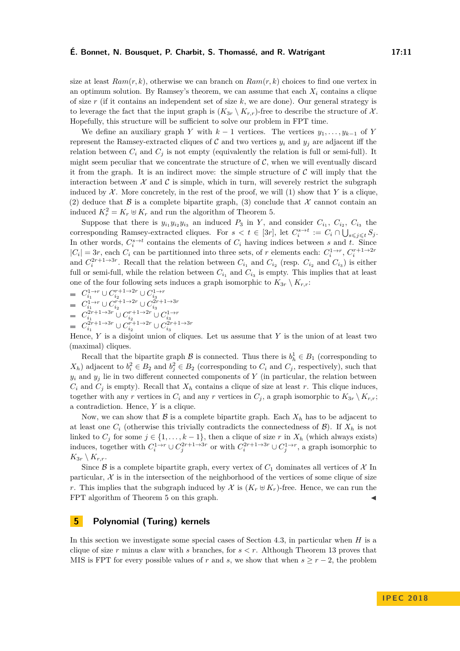size at least  $Ram(r, k)$ , otherwise we can branch on  $Ram(r, k)$  choices to find one vertex in an optimum solution. By Ramsey's theorem, we can assume that each  $X_i$  contains a clique of size *r* (if it contains an independent set of size *k*, we are done). Our general strategy is to leverage the fact that the input graph is  $(K_{3r} \setminus K_{r,r})$ -free to describe the structure of X. Hopefully, this structure will be sufficient to solve our problem in FPT time.

We define an auxiliary graph *Y* with  $k-1$  vertices. The vertices  $y_1, \ldots, y_{k-1}$  of *Y* represent the Ramsey-extracted cliques of  $C$  and two vertices  $y_i$  and  $y_j$  are adjacent iff the relation between  $C_i$  and  $C_j$  is not empty (equivalently the relation is full or semi-full). It might seem peculiar that we concentrate the structure of  $C$ , when we will eventually discard it from the graph. It is an indirect move: the simple structure of  $C$  will imply that the interaction between  $\mathcal X$  and  $\mathcal C$  is simple, which in turn, will severely restrict the subgraph induced by  $X$ . More concretely, in the rest of the proof, we will (1) show that  $Y$  is a clique, (2) deduce that B is a complete bipartite graph, (3) conclude that X cannot contain an induced  $K_r^2 = K_r \oplus K_r$  and run the algorithm of Theorem [5.](#page-5-1)

Suppose that there is  $y_{i_1}y_{i_2}y_{i_3}$  an induced  $P_3$  in *Y*, and consider  $C_{i_1}, C_{i_2}, C_{i_3}$  the corresponding Ramsey-extracted cliques. For  $s < t \in [3r]$ , let  $C_i^{s \to t} := C_i \cap \bigcup_{s \leq j \leq t} S_j$ . In other words,  $C_i^{s\to t}$  contains the elements of  $C_i$  having indices between *s* and *t*. Since  $|C_i| = 3r$ , each  $C_i$  can be partitionned into three sets, of *r* elements each:  $C_i^{1 \to r}$ ,  $C_i^{r+1 \to 2r}$ and  $C_i^{2r+1\rightarrow 3r}$ . Recall that the relation between  $C_{i_1}$  and  $C_{i_2}$  (resp.  $C_{i_2}$  and  $C_{i_3}$ ) is either full or semi-full, while the relation between  $C_{i_1}$  and  $C_{i_3}$  is empty. This implies that at least one of the four following sets induces a graph isomorphic to  $K_{3r} \setminus K_{r,r}$ :

- $C_{i_1}^{1 \to r} \cup C_{i_2}^{r+1 \to 2r} \cup C_{i_3}^{1 \to r}$  $C_{i_1}^{1 \to r} \cup C_{i_2}^{r+1 \to 2r} \cup C_{i_3}^{2r+1 \to 3r}$  $C_{i_1}^{2r+1\to 3r}$  ∪  $C_{i_2}^{r+1\to 2r}$  ∪  $C_{i_3}^{1\to r}$
- $C_{i_1}^{2r+1\to 3r}$  ∪  $C_{i_2}^{r+1\to 2r}$  ∪  $C_{i_3}^{2r+1\to 3r}$

Hence, *Y* is a disjoint union of cliques. Let us assume that *Y* is the union of at least two (maximal) cliques.

Recall that the bipartite graph  $\mathcal{B}$  is connected. Thus there is  $b_h^1 \in B_1$  (corresponding to  $X_h$ ) adjacent to  $b_i^2 \in B_2$  and  $b_j^2 \in B_2$  (corresponding to  $C_i$  and  $C_j$ , respectively), such that  $y_i$  and  $y_j$  lie in two different connected components of *Y* (in particular, the relation between  $C_i$  and  $C_j$  is empty). Recall that  $X_h$  contains a clique of size at least *r*. This clique induces, together with any *r* vertices in  $C_i$  and any *r* vertices in  $C_j$ , a graph isomorphic to  $K_{3r} \setminus K_{r,r}$ ; a contradiction. Hence, *Y* is a clique.

Now, we can show that  $\beta$  is a complete bipartite graph. Each  $X_h$  has to be adjacent to at least one  $C_i$  (otherwise this trivially contradicts the connectedness of  $\mathcal{B}$ ). If  $X_h$  is not linked to  $C_j$  for some  $j \in \{1, \ldots, k-1\}$ , then a clique of size  $r$  in  $X_h$  (which always exists) induces, together with  $C_i^{1 \to r} \cup C_j^{2r+1 \to 3r}$  or with  $C_i^{2r+1 \to 3r} \cup C_j^{1 \to r}$ , a graph isomorphic to  $K_{3r} \setminus K_{r,r}$ .

Since  $\mathcal B$  is a complete bipartite graph, every vertex of  $C_1$  dominates all vertices of  $\mathcal X$  In particular,  $X$  is in the intersection of the neighborhood of the vertices of some clique of size *r*. This implies that the subgraph induced by X is  $(K_r \oplus K_r)$ -free. Hence, we can run the FPT algorithm of Theorem [5](#page-5-1) on this graph.

## <span id="page-10-0"></span>**5 Polynomial (Turing) kernels**

In this section we investigate some special cases of Section [4.3,](#page-9-1) in particular when *H* is a clique of size *r* minus a claw with *s* branches, for *s < r*. Although Theorem [13](#page-9-3) proves that MIS is FPT for every possible values of *r* and *s*, we show that when  $s \ge r - 2$ , the problem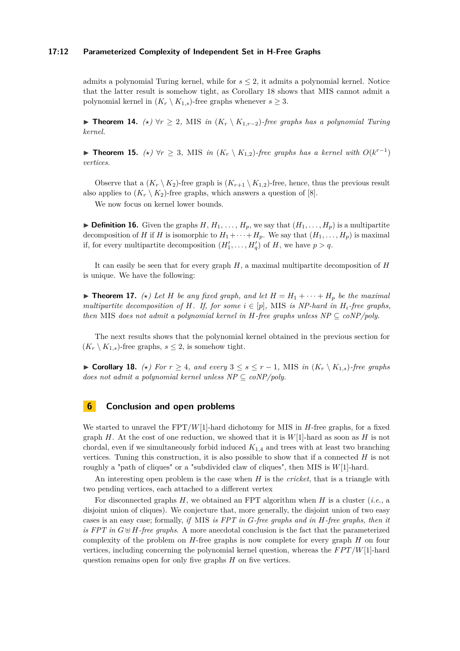#### **17:12 Parameterized Complexity of Independent Set in H-Free Graphs**

admits a polynomial Turing kernel, while for *s* ≤ 2, it admits a polynomial kernel. Notice that the latter result is somehow tight, as Corollary [18](#page-11-0) shows that MIS cannot admit a polynomial kernel in  $(K_r \setminus K_{1,s})$ -free graphs whenever  $s \geq 3$ .

**► Theorem 14.**  $(\star) \forall r \geq 2$ , MIS *in*  $(K_r \setminus K_{1,r-2})$ *-free graphs has a polynomial Turing kernel.*

▶ **Theorem 15.**  $(\star)$   $\forall r \geq 3$ , MIS *in*  $(K_r \setminus K_{1,2})$ -free graphs has a kernel with  $O(k^{r-1})$ *vertices.*

Observe that a  $(K_r \setminus K_2)$ -free graph is  $(K_{r+1} \setminus K_{1,2})$ -free, hence, thus the previous result also applies to  $(K_r \setminus K_2)$ -free graphs, which answers a question of [\[8\]](#page-12-11).

We now focus on kernel lower bounds.

 $\triangleright$  **Definition 16.** Given the graphs  $H, H_1, \ldots, H_p$ , we say that  $(H_1, \ldots, H_p)$  is a multipartite decomposition of *H* if *H* is isomorphic to  $H_1 + \cdots + H_p$ . We say that  $(H_1, \ldots, H_p)$  is maximal if, for every multipartite decomposition  $(H'_1, \ldots, H'_q)$  of *H*, we have  $p > q$ .

It can easily be seen that for every graph *H*, a maximal multipartite decomposition of *H* is unique. We have the following:

 $\blacktriangleright$  **Theorem 17.**  $(\star)$  Let H be any fixed graph, and let  $H = H_1 + \cdots + H_p$  be the maximal *multipartite decomposition of H. If, for some*  $i \in [p]$ *,* MIS *is NP-hard in*  $H_i$ -free graphs, *then* MIS *does not admit a polynomial kernel in H*-free graphs unless  $NP \subseteq coNP/poly$ .

The next results shows that the polynomial kernel obtained in the previous section for  $(K_r \setminus K_{1,s})$ -free graphs,  $s \leq 2$ , is somehow tight.

<span id="page-11-0"></span>► Corollary 18.  $(\star)$  For  $r \geq 4$ , and every  $3 \leq s \leq r - 1$ , MIS in  $(K_r \setminus K_{1,s})$ -free graphs *does not admit a polynomial kernel unless NP*  $\subseteq$  *coNP/poly.* 

## **6 Conclusion and open problems**

We started to unravel the FPT/*W*[1]-hard dichotomy for MIS in *H*-free graphs, for a fixed graph *H*. At the cost of one reduction, we showed that it is  $W[1]$ -hard as soon as *H* is not chordal, even if we simultaneously forbid induced *K*1*,*<sup>4</sup> and trees with at least two branching vertices. Tuning this construction, it is also possible to show that if a connected *H* is not roughly a "path of cliques" or a "subdivided claw of cliques", then MIS is *W*[1]-hard.

An interesting open problem is the case when *H* is the *cricket*, that is a triangle with two pending vertices, each attached to a different vertex

For disconnected graphs *H*, we obtained an FPT algorithm when *H* is a cluster (*i.e.*, a disjoint union of cliques). We conjecture that, more generally, the disjoint union of two easy cases is an easy case; formally, *if* MIS *is FPT in G-free graphs and in H-free graphs, then it is FPT in*  $G \oplus H$ -free graphs. A more anecdotal conclusion is the fact that the parameterized complexity of the problem on *H*-free graphs is now complete for every graph *H* on four vertices, including concerning the polynomial kernel question, whereas the *FPT*/*W*[1]-hard question remains open for only five graphs *H* on five vertices.